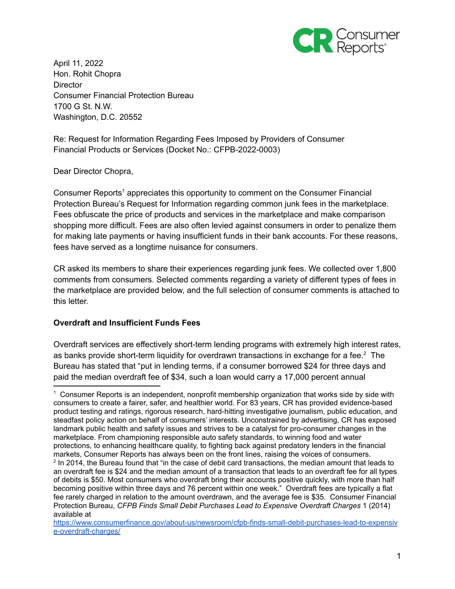

April 11, 2022 Hon. Rohit Chopra **Director** Consumer Financial Protection Bureau 1700 G St. N.W. Washington, D.C. 20552

Re: Request for Information Regarding Fees Imposed by Providers of Consumer Financial Products or Services (Docket No.: CFPB-2022-0003)

### Dear Director Chopra,

Consumer Reports<sup>1</sup> appreciates this opportunity to comment on the Consumer Financial Protection Bureau's Request for Information regarding common junk fees in the marketplace. Fees obfuscate the price of products and services in the marketplace and make comparison shopping more difficult. Fees are also often levied against consumers in order to penalize them for making late payments or having insufficient funds in their bank accounts. For these reasons, fees have served as a longtime nuisance for consumers.

CR asked its members to share their experiences regarding junk fees. We collected over 1,800 comments from consumers. Selected comments regarding a variety of different types of fees in the marketplace are provided below, and the full selection of consumer comments is attached to this letter.

## **Overdraft and Insufficient Funds Fees**

Overdraft services are effectively short-term lending programs with extremely high interest rates, as banks provide short-term liquidity for overdrawn transactions in exchange for a fee. $2$  The Bureau has stated that "put in lending terms, if a consumer borrowed \$24 for three days and paid the median overdraft fee of \$34, such a loan would carry a 17,000 percent annual

 $<sup>1</sup>$  Consumer Reports is an independent, nonprofit membership organization that works side by side with</sup> consumers to create a fairer, safer, and healthier world. For 83 years, CR has provided evidence-based product testing and ratings, rigorous research, hard-hitting investigative journalism, public education, and steadfast policy action on behalf of consumers' interests. Unconstrained by advertising, CR has exposed landmark public health and safety issues and strives to be a catalyst for pro-consumer changes in the marketplace. From championing responsible auto safety standards, to winning food and water protections, to enhancing healthcare quality, to fighting back against predatory lenders in the financial markets, Consumer Reports has always been on the front lines, raising the voices of consumers.

<sup>&</sup>lt;sup>2</sup> In 2014, the Bureau found that "in the case of debit card transactions, the median amount that leads to an overdraft fee is \$24 and the median amount of a transaction that leads to an overdraft fee for all types of debits is \$50. Most consumers who overdraft bring their accounts positive quickly, with more than half becoming positive within three days and 76 percent within one week." Overdraft fees are typically a flat fee rarely charged in relation to the amount overdrawn, and the average fee is \$35. Consumer Financial Protection Bureau, *CFPB Finds Small Debit Purchases Lead to Expensive Overdraft Charges* 1 (2014) available at

[https://www.consumerfinance.gov/about-us/newsroom/cfpb-finds-small-debit-purchases-lead-to-expensiv](https://www.consumerfinance.gov/about-us/newsroom/cfpb-finds-small-debit-purchases-lead-to-expensive-overdraft-charges/) [e-overdraft-charges/](https://www.consumerfinance.gov/about-us/newsroom/cfpb-finds-small-debit-purchases-lead-to-expensive-overdraft-charges/)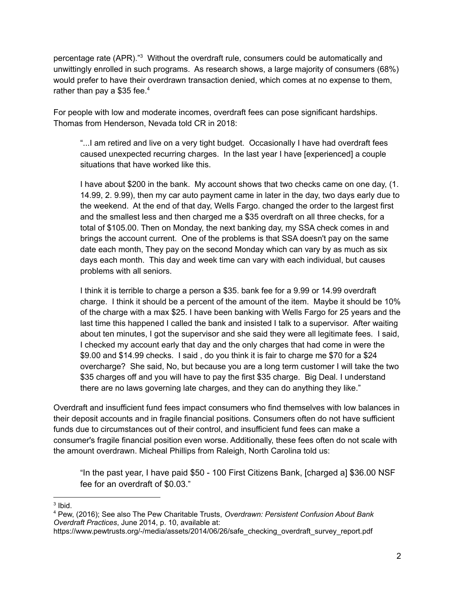percentage rate (APR).<sup>"3</sup> Without the overdraft rule, consumers could be automatically and unwittingly enrolled in such programs. As research shows, a large majority of consumers (68%) would prefer to have their overdrawn transaction denied, which comes at no expense to them, rather than pay a \$35 fee.<sup>4</sup>

For people with low and moderate incomes, overdraft fees can pose significant hardships. Thomas from Henderson, Nevada told CR in 2018:

"...I am retired and live on a very tight budget. Occasionally I have had overdraft fees caused unexpected recurring charges. In the last year I have [experienced] a couple situations that have worked like this.

I have about \$200 in the bank. My account shows that two checks came on one day, (1. 14.99, 2. 9.99), then my car auto payment came in later in the day, two days early due to the weekend. At the end of that day, Wells Fargo. changed the order to the largest first and the smallest less and then charged me a \$35 overdraft on all three checks, for a total of \$105.00. Then on Monday, the next banking day, my SSA check comes in and brings the account current. One of the problems is that SSA doesn't pay on the same date each month, They pay on the second Monday which can vary by as much as six days each month. This day and week time can vary with each individual, but causes problems with all seniors.

I think it is terrible to charge a person a \$35. bank fee for a 9.99 or 14.99 overdraft charge. I think it should be a percent of the amount of the item. Maybe it should be 10% of the charge with a max \$25. I have been banking with Wells Fargo for 25 years and the last time this happened I called the bank and insisted I talk to a supervisor. After waiting about ten minutes, I got the supervisor and she said they were all legitimate fees. I said, I checked my account early that day and the only charges that had come in were the \$9.00 and \$14.99 checks. I said , do you think it is fair to charge me \$70 for a \$24 overcharge? She said, No, but because you are a long term customer I will take the two \$35 charges off and you will have to pay the first \$35 charge. Big Deal. I understand there are no laws governing late charges, and they can do anything they like."

Overdraft and insufficient fund fees impact consumers who find themselves with low balances in their deposit accounts and in fragile financial positions. Consumers often do not have sufficient funds due to circumstances out of their control, and insufficient fund fees can make a consumer's fragile financial position even worse. Additionally, these fees often do not scale with the amount overdrawn. Micheal Phillips from Raleigh, North Carolina told us:

"In the past year, I have paid \$50 - 100 First Citizens Bank, [charged a] \$36.00 NSF fee for an overdraft of \$0.03."

<sup>&</sup>lt;sup>3</sup> Ibid.

<sup>4</sup> Pew, (2016); See also The Pew Charitable Trusts, *Overdrawn: Persistent Confusion About Bank Overdraft Practices*, June 2014, p. 10, available at:

https://www.pewtrusts.org/-/media/assets/2014/06/26/safe\_checking\_overdraft\_survey\_report.pdf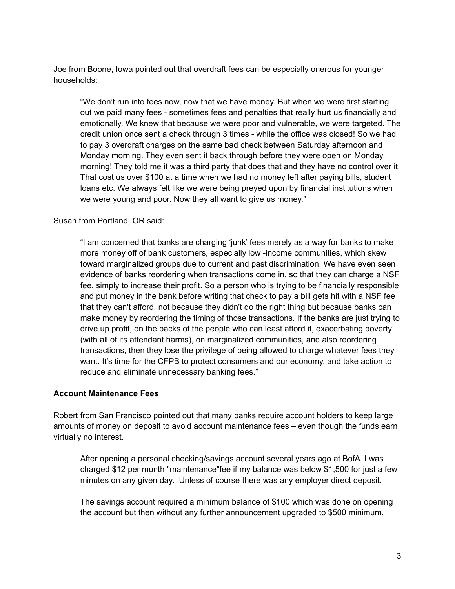Joe from Boone, Iowa pointed out that overdraft fees can be especially onerous for younger households:

"We don't run into fees now, now that we have money. But when we were first starting out we paid many fees - sometimes fees and penalties that really hurt us financially and emotionally. We knew that because we were poor and vulnerable, we were targeted. The credit union once sent a check through 3 times - while the office was closed! So we had to pay 3 overdraft charges on the same bad check between Saturday afternoon and Monday morning. They even sent it back through before they were open on Monday morning! They told me it was a third party that does that and they have no control over it. That cost us over \$100 at a time when we had no money left after paying bills, student loans etc. We always felt like we were being preyed upon by financial institutions when we were young and poor. Now they all want to give us money."

Susan from Portland, OR said:

"I am concerned that banks are charging 'junk' fees merely as a way for banks to make more money off of bank customers, especially low -income communities, which skew toward marginalized groups due to current and past discrimination. We have even seen evidence of banks reordering when transactions come in, so that they can charge a NSF fee, simply to increase their profit. So a person who is trying to be financially responsible and put money in the bank before writing that check to pay a bill gets hit with a NSF fee that they can't afford, not because they didn't do the right thing but because banks can make money by reordering the timing of those transactions. If the banks are just trying to drive up profit, on the backs of the people who can least afford it, exacerbating poverty (with all of its attendant harms), on marginalized communities, and also reordering transactions, then they lose the privilege of being allowed to charge whatever fees they want. It's time for the CFPB to protect consumers and our economy, and take action to reduce and eliminate unnecessary banking fees."

#### **Account Maintenance Fees**

Robert from San Francisco pointed out that many banks require account holders to keep large amounts of money on deposit to avoid account maintenance fees – even though the funds earn virtually no interest.

After opening a personal checking/savings account several years ago at BofA I was charged \$12 per month "maintenance"fee if my balance was below \$1,500 for just a few minutes on any given day. Unless of course there was any employer direct deposit.

The savings account required a minimum balance of \$100 which was done on opening the account but then without any further announcement upgraded to \$500 minimum.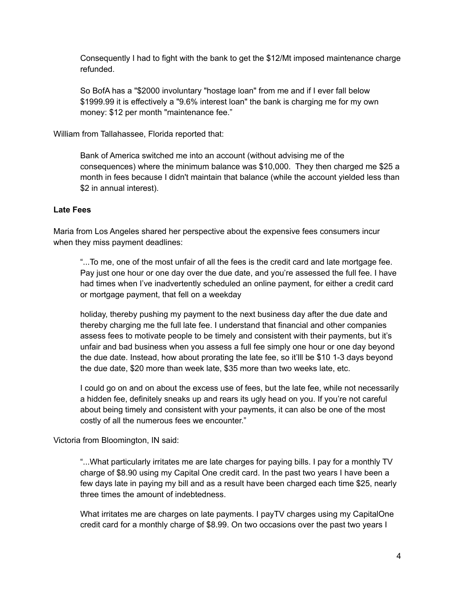Consequently I had to fight with the bank to get the \$12/Mt imposed maintenance charge refunded.

So BofA has a "\$2000 involuntary "hostage loan" from me and if I ever fall below \$1999.99 it is effectively a "9.6% interest loan" the bank is charging me for my own money: \$12 per month "maintenance fee."

William from Tallahassee, Florida reported that:

Bank of America switched me into an account (without advising me of the consequences) where the minimum balance was \$10,000. They then charged me \$25 a month in fees because I didn't maintain that balance (while the account yielded less than \$2 in annual interest).

#### **Late Fees**

Maria from Los Angeles shared her perspective about the expensive fees consumers incur when they miss payment deadlines:

"...To me, one of the most unfair of all the fees is the credit card and late mortgage fee. Pay just one hour or one day over the due date, and you're assessed the full fee. I have had times when I've inadvertently scheduled an online payment, for either a credit card or mortgage payment, that fell on a weekday

holiday, thereby pushing my payment to the next business day after the due date and thereby charging me the full late fee. I understand that financial and other companies assess fees to motivate people to be timely and consistent with their payments, but it's unfair and bad business when you assess a full fee simply one hour or one day beyond the due date. Instead, how about prorating the late fee, so it'lll be \$10 1-3 days beyond the due date, \$20 more than week late, \$35 more than two weeks late, etc.

I could go on and on about the excess use of fees, but the late fee, while not necessarily a hidden fee, definitely sneaks up and rears its ugly head on you. If you're not careful about being timely and consistent with your payments, it can also be one of the most costly of all the numerous fees we encounter."

Victoria from Bloomington, IN said:

"...What particularly irritates me are late charges for paying bills. I pay for a monthly TV charge of \$8.90 using my Capital One credit card. In the past two years I have been a few days late in paying my bill and as a result have been charged each time \$25, nearly three times the amount of indebtedness.

What irritates me are charges on late payments. I payTV charges using my CapitalOne credit card for a monthly charge of \$8.99. On two occasions over the past two years I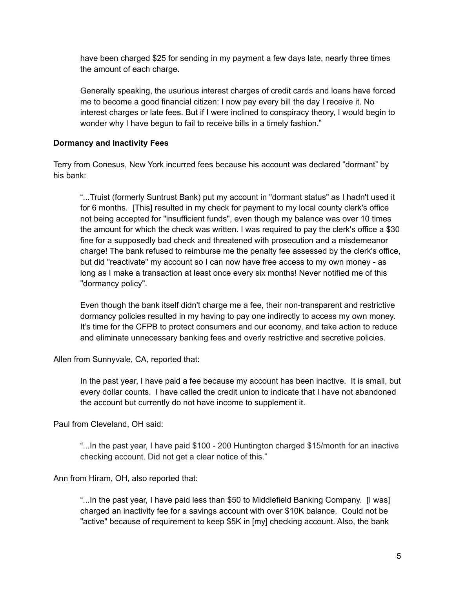have been charged \$25 for sending in my payment a few days late, nearly three times the amount of each charge.

Generally speaking, the usurious interest charges of credit cards and loans have forced me to become a good financial citizen: I now pay every bill the day I receive it. No interest charges or late fees. But if I were inclined to conspiracy theory, I would begin to wonder why I have begun to fail to receive bills in a timely fashion."

# **Dormancy and Inactivity Fees**

Terry from Conesus, New York incurred fees because his account was declared "dormant" by his bank:

"...Truist (formerly Suntrust Bank) put my account in "dormant status" as I hadn't used it for 6 months. [This] resulted in my check for payment to my local county clerk's office not being accepted for "insufficient funds", even though my balance was over 10 times the amount for which the check was written. I was required to pay the clerk's office a \$30 fine for a supposedly bad check and threatened with prosecution and a misdemeanor charge! The bank refused to reimburse me the penalty fee assessed by the clerk's office, but did "reactivate" my account so I can now have free access to my own money - as long as I make a transaction at least once every six months! Never notified me of this "dormancy policy".

Even though the bank itself didn't charge me a fee, their non-transparent and restrictive dormancy policies resulted in my having to pay one indirectly to access my own money. It's time for the CFPB to protect consumers and our economy, and take action to reduce and eliminate unnecessary banking fees and overly restrictive and secretive policies.

Allen from Sunnyvale, CA, reported that:

In the past year, I have paid a fee because my account has been inactive. It is small, but every dollar counts. I have called the credit union to indicate that I have not abandoned the account but currently do not have income to supplement it.

Paul from Cleveland, OH said:

"...In the past year, I have paid \$100 - 200 Huntington charged \$15/month for an inactive checking account. Did not get a clear notice of this."

Ann from Hiram, OH, also reported that:

"...In the past year, I have paid less than \$50 to Middlefield Banking Company. [I was] charged an inactivity fee for a savings account with over \$10K balance. Could not be "active" because of requirement to keep \$5K in [my] checking account. Also, the bank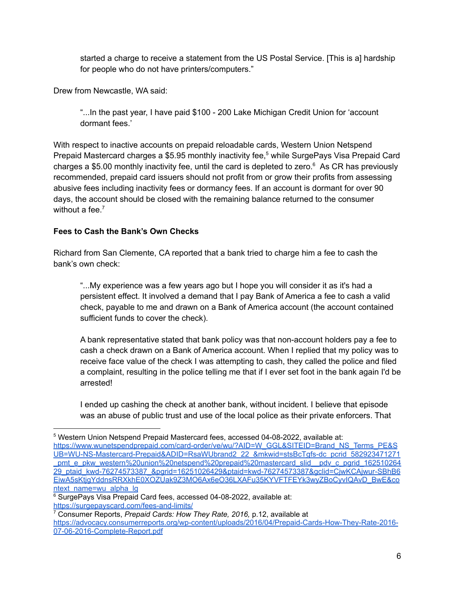started a charge to receive a statement from the US Postal Service. [This is a] hardship for people who do not have printers/computers."

Drew from Newcastle, WA said:

"...In the past year, I have paid \$100 - 200 Lake Michigan Credit Union for 'account dormant fees.'

With respect to inactive accounts on prepaid reloadable cards, Western Union Netspend Prepaid Mastercard charges a \$5.95 monthly inactivity fee, <sup>5</sup> while SurgePays Visa Prepaid Card charges a \$5.00 monthly inactivity fee, until the card is depleted to zero. <sup>6</sup> As CR has previously recommended, prepaid card issuers should not profit from or grow their profits from assessing abusive fees including inactivity fees or dormancy fees. If an account is dormant for over 90 days, the account should be closed with the remaining balance returned to the consumer without a fee.<sup>7</sup>

## **Fees to Cash the Bank's Own Checks**

Richard from San Clemente, CA reported that a bank tried to charge him a fee to cash the bank's own check:

"...My experience was a few years ago but I hope you will consider it as it's had a persistent effect. It involved a demand that I pay Bank of America a fee to cash a valid check, payable to me and drawn on a Bank of America account (the account contained sufficient funds to cover the check).

A bank representative stated that bank policy was that non-account holders pay a fee to cash a check drawn on a Bank of America account. When I replied that my policy was to receive face value of the check I was attempting to cash, they called the police and filed a complaint, resulting in the police telling me that if I ever set foot in the bank again I'd be arrested!

I ended up cashing the check at another bank, without incident. I believe that episode was an abuse of public trust and use of the local police as their private enforcers. That

<sup>5</sup> Western Union Netspend Prepaid Mastercard fees, accessed 04-08-2022, available at: [https://www.wunetspendprepaid.com/card-order/ve/wu/?AID=W\\_GGL&SITEID=Brand\\_NS\\_Terms\\_PE&S](https://www.wunetspendprepaid.com/card-order/ve/wu/?AID=W_GGL&SITEID=Brand_NS_Terms_PE&SUB=WU-NS-Mastercard-Prepaid&ADID=RsaWUbrand2_22_&mkwid=stsBcTgfs-dc_pcrid_582923471271_pmt_e_pkw_western%20union%20netspend%20prepaid%20mastercard_slid__pdv_c_pgrid_16251026429_ptaid_kwd-76274573387_&pgrid=16251026429&ptaid=kwd-76274573387&gclid=CjwKCAjwur-SBhB6EiwA5sKtjgYddnsRRXkhE0XOZUak9Z3MO6Ax6eO36LXAFu35KYVFTFEYk3wyZBoCyvIQAvD_BwE&context_name=wu_alpha_lg) [UB=WU-NS-Mastercard-Prepaid&ADID=RsaWUbrand2\\_22\\_&mkwid=stsBcTgfs-dc\\_pcrid\\_582923471271](https://www.wunetspendprepaid.com/card-order/ve/wu/?AID=W_GGL&SITEID=Brand_NS_Terms_PE&SUB=WU-NS-Mastercard-Prepaid&ADID=RsaWUbrand2_22_&mkwid=stsBcTgfs-dc_pcrid_582923471271_pmt_e_pkw_western%20union%20netspend%20prepaid%20mastercard_slid__pdv_c_pgrid_16251026429_ptaid_kwd-76274573387_&pgrid=16251026429&ptaid=kwd-76274573387&gclid=CjwKCAjwur-SBhB6EiwA5sKtjgYddnsRRXkhE0XOZUak9Z3MO6Ax6eO36LXAFu35KYVFTFEYk3wyZBoCyvIQAvD_BwE&context_name=wu_alpha_lg) pmt\_e\_pkw\_western%20union%20netspend%20prepaid%20mastercard\_slid\_\_pdv\_c\_pgrid\_162510264 [29\\_ptaid\\_kwd-76274573387\\_&pgrid=16251026429&ptaid=kwd-76274573387&gclid=CjwKCAjwur-SBhB6](https://www.wunetspendprepaid.com/card-order/ve/wu/?AID=W_GGL&SITEID=Brand_NS_Terms_PE&SUB=WU-NS-Mastercard-Prepaid&ADID=RsaWUbrand2_22_&mkwid=stsBcTgfs-dc_pcrid_582923471271_pmt_e_pkw_western%20union%20netspend%20prepaid%20mastercard_slid__pdv_c_pgrid_16251026429_ptaid_kwd-76274573387_&pgrid=16251026429&ptaid=kwd-76274573387&gclid=CjwKCAjwur-SBhB6EiwA5sKtjgYddnsRRXkhE0XOZUak9Z3MO6Ax6eO36LXAFu35KYVFTFEYk3wyZBoCyvIQAvD_BwE&context_name=wu_alpha_lg) [EiwA5sKtjgYddnsRRXkhE0XOZUak9Z3MO6Ax6eO36LXAFu35KYVFTFEYk3wyZBoCyvIQAvD\\_BwE&co](https://www.wunetspendprepaid.com/card-order/ve/wu/?AID=W_GGL&SITEID=Brand_NS_Terms_PE&SUB=WU-NS-Mastercard-Prepaid&ADID=RsaWUbrand2_22_&mkwid=stsBcTgfs-dc_pcrid_582923471271_pmt_e_pkw_western%20union%20netspend%20prepaid%20mastercard_slid__pdv_c_pgrid_16251026429_ptaid_kwd-76274573387_&pgrid=16251026429&ptaid=kwd-76274573387&gclid=CjwKCAjwur-SBhB6EiwA5sKtjgYddnsRRXkhE0XOZUak9Z3MO6Ax6eO36LXAFu35KYVFTFEYk3wyZBoCyvIQAvD_BwE&context_name=wu_alpha_lg) [ntext\\_name=wu\\_alpha\\_lg](https://www.wunetspendprepaid.com/card-order/ve/wu/?AID=W_GGL&SITEID=Brand_NS_Terms_PE&SUB=WU-NS-Mastercard-Prepaid&ADID=RsaWUbrand2_22_&mkwid=stsBcTgfs-dc_pcrid_582923471271_pmt_e_pkw_western%20union%20netspend%20prepaid%20mastercard_slid__pdv_c_pgrid_16251026429_ptaid_kwd-76274573387_&pgrid=16251026429&ptaid=kwd-76274573387&gclid=CjwKCAjwur-SBhB6EiwA5sKtjgYddnsRRXkhE0XOZUak9Z3MO6Ax6eO36LXAFu35KYVFTFEYk3wyZBoCyvIQAvD_BwE&context_name=wu_alpha_lg)

<sup>&</sup>lt;sup>6</sup> SurgePays Visa Prepaid Card fees, accessed 04-08-2022, available at: <https://surgepayscard.com/fees-and-limits/>

<sup>7</sup> Consumer Reports, *Prepaid Cards: How They Rate, 2016,* p.12, available at [https://advocacy.consumerreports.org/wp-content/uploads/2016/04/Prepaid-Cards-How-They-Rate-2016-](https://advocacy.consumerreports.org/wp-content/uploads/2016/04/Prepaid-Cards-How-They-Rate-2016-07-06-2016-Complete-Report.pdf) [07-06-2016-Complete-Report.pdf](https://advocacy.consumerreports.org/wp-content/uploads/2016/04/Prepaid-Cards-How-They-Rate-2016-07-06-2016-Complete-Report.pdf)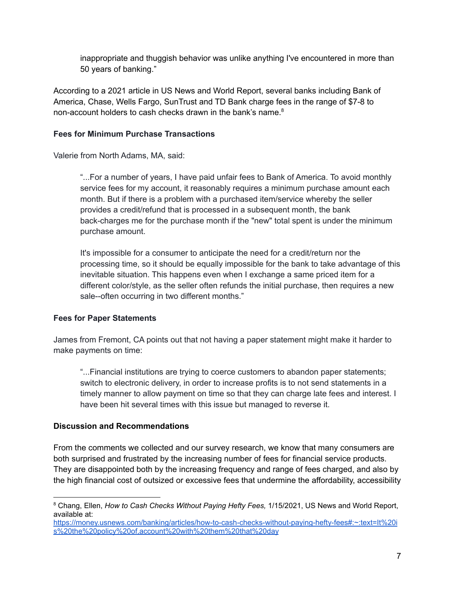inappropriate and thuggish behavior was unlike anything I've encountered in more than 50 years of banking."

According to a 2021 article in US News and World Report, several banks including Bank of America, Chase, Wells Fargo, SunTrust and TD Bank charge fees in the range of \$7-8 to non-account holders to cash checks drawn in the bank's name. 8

# **Fees for Minimum Purchase Transactions**

Valerie from North Adams, MA, said:

"...For a number of years, I have paid unfair fees to Bank of America. To avoid monthly service fees for my account, it reasonably requires a minimum purchase amount each month. But if there is a problem with a purchased item/service whereby the seller provides a credit/refund that is processed in a subsequent month, the bank back-charges me for the purchase month if the "new" total spent is under the minimum purchase amount.

It's impossible for a consumer to anticipate the need for a credit/return nor the processing time, so it should be equally impossible for the bank to take advantage of this inevitable situation. This happens even when I exchange a same priced item for a different color/style, as the seller often refunds the initial purchase, then requires a new sale--often occurring in two different months."

# **Fees for Paper Statements**

James from Fremont, CA points out that not having a paper statement might make it harder to make payments on time:

"...Financial institutions are trying to coerce customers to abandon paper statements; switch to electronic delivery, in order to increase profits is to not send statements in a timely manner to allow payment on time so that they can charge late fees and interest. I have been hit several times with this issue but managed to reverse it.

# **Discussion and Recommendations**

From the comments we collected and our survey research, we know that many consumers are both surprised and frustrated by the increasing number of fees for financial service products. They are disappointed both by the increasing frequency and range of fees charged, and also by the high financial cost of outsized or excessive fees that undermine the affordability, accessibility

<sup>8</sup> Chang, Ellen, *How to Cash Checks Without Paying Hefty Fees,* 1/15/2021, US News and World Report, available at:

[https://money.usnews.com/banking/articles/how-to-cash-checks-without-paying-hefty-fees#:~:text=It%20i](https://money.usnews.com/banking/articles/how-to-cash-checks-without-paying-hefty-fees#:~:text=It%20is%20the%20policy%20of,account%20with%20them%20that%20day) [s%20the%20policy%20of,account%20with%20them%20that%20day](https://money.usnews.com/banking/articles/how-to-cash-checks-without-paying-hefty-fees#:~:text=It%20is%20the%20policy%20of,account%20with%20them%20that%20day)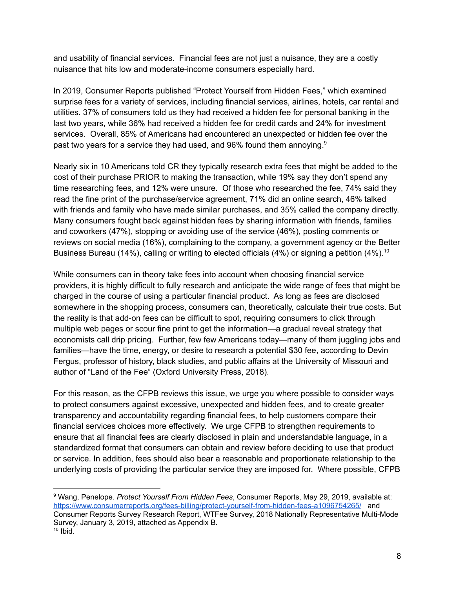and usability of financial services. Financial fees are not just a nuisance, they are a costly nuisance that hits low and moderate-income consumers especially hard.

In 2019, Consumer Reports published "Protect Yourself from Hidden Fees," which examined surprise fees for a variety of services, including financial services, airlines, hotels, car rental and utilities. 37% of consumers told us they had received a hidden fee for personal banking in the last two years, while 36% had received a hidden fee for credit cards and 24% for investment services. Overall, 85% of Americans had encountered an unexpected or hidden fee over the past two years for a service they had used, and 96% found them annoying.<sup>9</sup>

Nearly six in 10 Americans told CR they typically research extra fees that might be added to the cost of their purchase PRIOR to making the transaction, while 19% say they don't spend any time researching fees, and 12% were unsure. Of those who researched the fee, 74% said they read the fine print of the purchase/service agreement, 71% did an online search, 46% talked with friends and family who have made similar purchases, and 35% called the company directly. Many consumers fought back against hidden fees by sharing information with friends, families and coworkers (47%), stopping or avoiding use of the service (46%), posting comments or reviews on social media (16%), complaining to the company, a government agency or the Better Business Bureau (14%), calling or writing to elected officials (4%) or signing a petition (4%).<sup>10</sup>

While consumers can in theory take fees into account when choosing financial service providers, it is highly difficult to fully research and anticipate the wide range of fees that might be charged in the course of using a particular financial product. As long as fees are disclosed somewhere in the shopping process, consumers can, theoretically, calculate their true costs. But the reality is that add-on fees can be difficult to spot, requiring consumers to click through multiple web pages or scour fine print to get the information—a gradual reveal strategy that economists call drip pricing. Further, few few Americans today—many of them juggling jobs and families—have the time, energy, or desire to research a potential \$30 fee, according to Devin Fergus, professor of history, black studies, and public affairs at the University of Missouri and author of "Land of the Fee" (Oxford University Press, 2018).

For this reason, as the CFPB reviews this issue, we urge you where possible to consider ways to protect consumers against excessive, unexpected and hidden fees, and to create greater transparency and accountability regarding financial fees, to help customers compare their financial services choices more effectively. We urge CFPB to strengthen requirements to ensure that all financial fees are clearly disclosed in plain and understandable language, in a standardized format that consumers can obtain and review before deciding to use that product or service. In addition, fees should also bear a reasonable and proportionate relationship to the underlying costs of providing the particular service they are imposed for. Where possible, CFPB

 $10$  Ibid. <sup>9</sup> Wang, Penelope. *Protect Yourself From Hidden Fees*, Consumer Reports, May 29, 2019, available at: <https://www.consumerreports.org/fees-billing/protect-yourself-from-hidden-fees-a1096754265/> and Consumer Reports Survey Research Report, WTFee Survey, 2018 Nationally Representative Multi-Mode Survey, January 3, 2019, attached as Appendix B.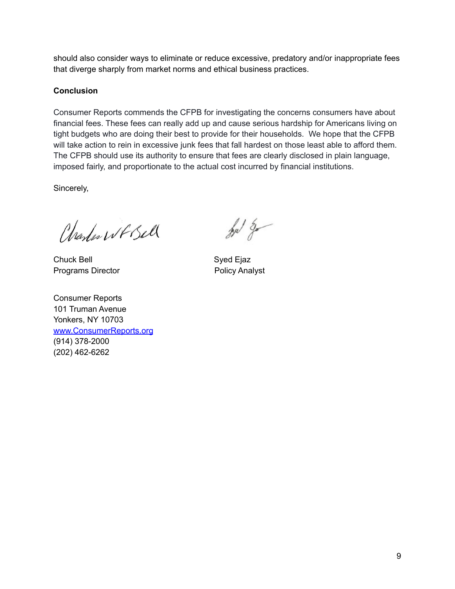should also consider ways to eliminate or reduce excessive, predatory and/or inappropriate fees that diverge sharply from market norms and ethical business practices.

### **Conclusion**

Consumer Reports commends the CFPB for investigating the concerns consumers have about financial fees. These fees can really add up and cause serious hardship for Americans living on tight budgets who are doing their best to provide for their households. We hope that the CFPB will take action to rein in excessive junk fees that fall hardest on those least able to afford them. The CFPB should use its authority to ensure that fees are clearly disclosed in plain language, imposed fairly, and proportionate to the actual cost incurred by financial institutions.

Sincerely,

Charles WF Bell

Chuck Bell Syed Ejaz Programs Director **Programs** Policy Analyst

Consumer Reports 101 Truman Avenue Yonkers, NY 1070[3](http://www.consumerreports.org/) [www.ConsumerReports.org](http://www.consumerreports.org/) (914) 378-2000 (202) 462-6262

for g